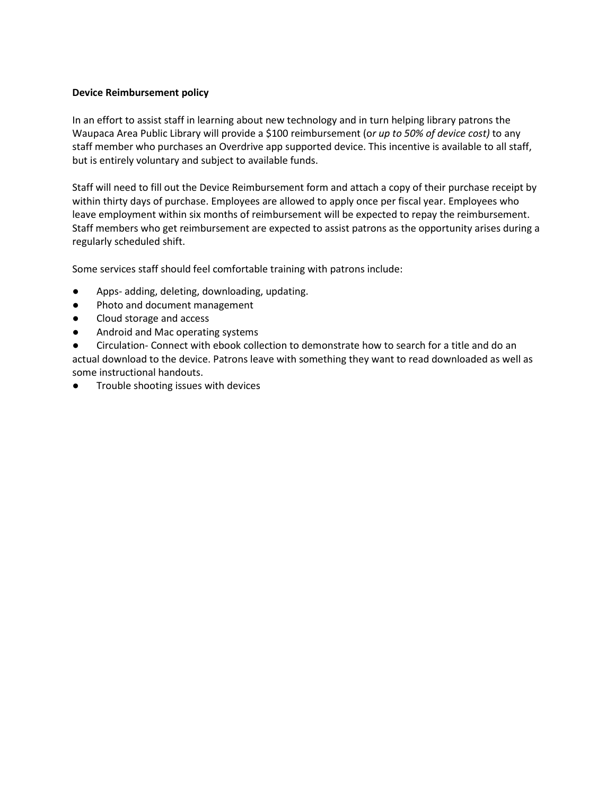## **Device Reimbursement policy**

In an effort to assist staff in learning about new technology and in turn helping library patrons the Waupaca Area Public Library will provide a \$100 reimbursement (o*r up to 50% of device cost)* to any staff member who purchases an Overdrive app supported device. This incentive is available to all staff, but is entirely voluntary and subject to available funds.

Staff will need to fill out the Device Reimbursement form and attach a copy of their purchase receipt by within thirty days of purchase. Employees are allowed to apply once per fiscal year. Employees who leave employment within six months of reimbursement will be expected to repay the reimbursement. Staff members who get reimbursement are expected to assist patrons as the opportunity arises during a regularly scheduled shift.

Some services staff should feel comfortable training with patrons include:

- Apps- adding, deleting, downloading, updating.
- Photo and document management
- Cloud storage and access
- Android and Mac operating systems
- Circulation- Connect with ebook collection to demonstrate how to search for a title and do an actual download to the device. Patrons leave with something they want to read downloaded as well as some instructional handouts.
- Trouble shooting issues with devices